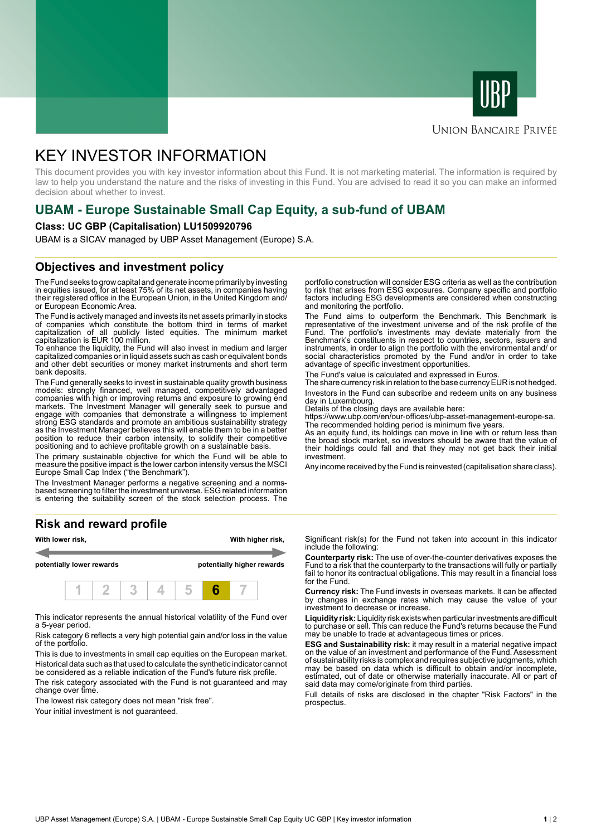



## **UNION BANCAIRE PRIVÉE**

# KEY INVESTOR INFORMATION

This document provides you with key investor information about this Fund. It is not marketing material. The information is required by law to help you understand the nature and the risks of investing in this Fund. You are advised to read it so you can make an informed decision about whether to invest.

# **UBAM - Europe Sustainable Small Cap Equity, a sub-fund of UBAM**

#### **Class: UC GBP (Capitalisation) LU1509920796**

UBAM is a SICAV managed by UBP Asset Management (Europe) S.A.

# **Objectives and investment policy**

The Fund seeks to grow capital and generate income primarily by investing in equities issued, for at least 75% of its net assets, in companies having their registered office in the European Union, in the United Kingdom and/ or European Economic Area.

The Fund is actively managed and invests its net assets primarily in stocks of companies which constitute the bottom third in terms of market capitalization of all publicly listed equities. The minimum market capitalization is EUR 100 million.

To enhance the liquidity, the Fund will also invest in medium and larger capitalized companies or in liquid assets such as cash or equivalent bonds and other debt securities or money market instruments and short term bank deposits.

The Fund generally seeks to invest in sustainable quality growth business models: strongly financed, well managed, competitively advantaged companies with high or improving returns and exposure to growing end markets. The Investment Manager will generally seek to pursue and engage with companies that demonstrate a willingness to implement strong ESG standards and promote an ambitious sustainability strategy as the Investment Manager believes this will enable them to be in a better position to reduce their carbon intensity, to solidify their competitive positioning and to achieve profitable growth on a sustainable basis.

The primary sustainable objective for which the Fund will be able to measure the positive impact is the lower carbon intensity versus the MSCI Europe Small Cap Index ("the Benchmark").

The Investment Manager performs a negative screening and a normsbased screening to filter the investment universe. ESG related information is entering the suitability screen of the stock selection process. The

### **Risk and reward profile**



This indicator represents the annual historical volatility of the Fund over a 5-year period.

Risk category 6 reflects a very high potential gain and/or loss in the value of the portfolio.

This is due to investments in small cap equities on the European market. Historical data such as that used to calculate the synthetic indicator cannot be considered as a reliable indication of the Fund's future risk profile.

The risk category associated with the Fund is not guaranteed and may change over time.

The lowest risk category does not mean "risk free".

Your initial investment is not quaranteed.

portfolio construction will consider ESG criteria as well as the contribution to risk that arises from ESG exposures. Company specific and portfolio factors including ESG developments are considered when constructing and monitoring the portfolio.

The Fund aims to outperform the Benchmark. This Benchmark is representative of the investment universe and of the risk profile of the Fund. The portfolio's investments may deviate materially from the Benchmark's constituents in respect to countries, sectors, issuers and instruments, in order to align the portfolio with the environmental and/ or social characteristics promoted by the Fund and/or in order to take advantage of specific investment opportunities.

The Fund's value is calculated and expressed in Euros.

The share currency risk in relation to the base currency EUR is not hedged. Investors in the Fund can subscribe and redeem units on any business day in Luxembourg.

Details of the closing days are available here:

https://www.ubp.com/en/our-offices/ubp-asset-management-europe-sa. The recommended holding period is minimum five years.

As an equity fund, its holdings can move in line with or return less than the broad stock market, so investors should be aware that the value of their holdings could fall and that they may not get back their initial investment.

Any income received by the Fund is reinvested (capitalisation share class).

Significant risk(s) for the Fund not taken into account in this indicator include the following:

**Counterparty risk:** The use of over-the-counter derivatives exposes the Fund to a risk that the counterparty to the transactions will fully or partially fail to honor its contractual obligations. This may result in a financial loss for the Fund.

**Currency risk:** The Fund invests in overseas markets. It can be affected by changes in exchange rates which may cause the value of your investment to decrease or increase.

**Liquidity risk:** Liquidity risk exists when particular investments are difficult to purchase or sell. This can reduce the Fund's returns because the Fund may be unable to trade at advantageous times or prices.

**ESG and Sustainability risk:** it may result in a material negative impact on the value of an investment and performance of the Fund. Assessment of sustainability risks is complex and requires subjective judgments, which may be based on data which is difficult to obtain and/or incomplete, estimated, out of date or otherwise materially inaccurate. All or part of said data may come/originate from third parties.

Full details of risks are disclosed in the chapter "Risk Factors" in the prospectus.